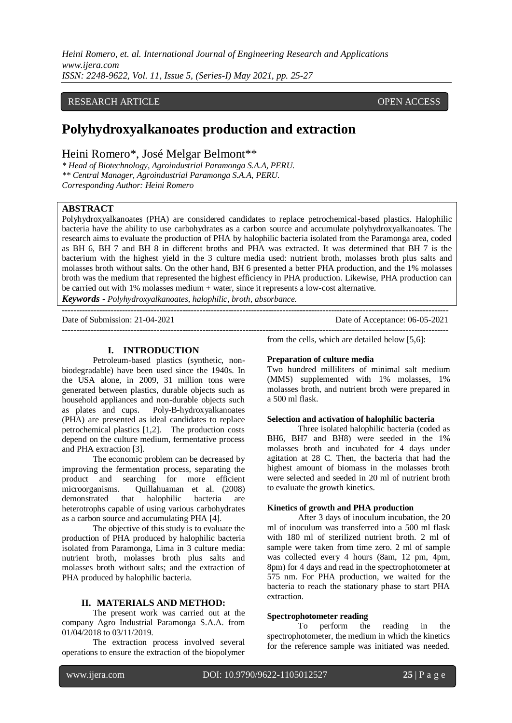*Heini Romero, et. al. International Journal of Engineering Research and Applications www.ijera.com ISSN: 2248-9622, Vol. 11, Issue 5, (Series-I) May 2021, pp. 25-27*

# RESEARCH ARTICLE **OPEN ACCESS**

# **Polyhydroxyalkanoates production and extraction**

Heini Romero\*, José Melgar Belmont\*\*

*\* Head of Biotechnology, Agroindustrial Paramonga S.A.A, PERU. \*\* Central Manager, Agroindustrial Paramonga S.A.A, PERU. Corresponding Author: Heini Romero*

# **ABSTRACT**

Polyhydroxyalkanoates (PHA) are considered candidates to replace petrochemical-based plastics. Halophilic bacteria have the ability to use carbohydrates as a carbon source and accumulate polyhydroxyalkanoates. The research aims to evaluate the production of PHA by halophilic bacteria isolated from the Paramonga area, coded as BH 6, BH 7 and BH 8 in different broths and PHA was extracted. It was determined that BH 7 is the bacterium with the highest yield in the 3 culture media used: nutrient broth, molasses broth plus salts and molasses broth without salts. On the other hand, BH 6 presented a better PHA production, and the 1% molasses broth was the medium that represented the highest efficiency in PHA production. Likewise, PHA production can be carried out with 1% molasses medium + water, since it represents a low-cost alternative.

---------------------------------------------------------------------------------------------------------------------------------------

*Keywords* **-** *Polyhydroxyalkanoates, halophilic, broth, absorbance.*

Date of Submission: 21-04-2021 Date of Acceptance: 06-05-2021

**I. INTRODUCTION**

Petroleum-based plastics (synthetic, nonbiodegradable) have been used since the 1940s. In the USA alone, in 2009, 31 million tons were generated between plastics, durable objects such as household appliances and non-durable objects such as plates and cups. Poly-B-hydroxyalkanoates (PHA) are presented as ideal candidates to replace petrochemical plastics [1,2]. The production costs depend on the culture medium, fermentative process and PHA extraction [3].

The economic problem can be decreased by improving the fermentation process, separating the product and searching for more efficient microorganisms. Quillahuaman et al. (2008) demonstrated that halophilic bacteria are heterotrophs capable of using various carbohydrates as a carbon source and accumulating PHA [4].

The objective of this study is to evaluate the production of PHA produced by halophilic bacteria isolated from Paramonga, Lima in 3 culture media: nutrient broth, molasses broth plus salts and molasses broth without salts; and the extraction of PHA produced by halophilic bacteria.

# **II. MATERIALS AND METHOD:**

The present work was carried out at the company Agro Industrial Paramonga S.A.A. from 01/04/2018 to 03/11/2019.

The extraction process involved several operations to ensure the extraction of the biopolymer

from the cells, which are detailed below [5,6]:

#### **Preparation of culture media**

Two hundred milliliters of minimal salt medium (MMS) supplemented with 1% molasses, 1% molasses broth, and nutrient broth were prepared in a 500 ml flask.

---------------------------------------------------------------------------------------------------------------------------------------

# **Selection and activation of halophilic bacteria**

Three isolated halophilic bacteria (coded as BH6, BH7 and BH8) were seeded in the 1% molasses broth and incubated for 4 days under agitation at 28 C. Then, the bacteria that had the highest amount of biomass in the molasses broth were selected and seeded in 20 ml of nutrient broth to evaluate the growth kinetics.

### **Kinetics of growth and PHA production**

After 3 days of inoculum incubation, the 20 ml of inoculum was transferred into a 500 ml flask with 180 ml of sterilized nutrient broth. 2 ml of sample were taken from time zero. 2 ml of sample was collected every 4 hours (8am, 12 pm, 4pm, 8pm) for 4 days and read in the spectrophotometer at 575 nm. For PHA production, we waited for the bacteria to reach the stationary phase to start PHA extraction.

### **Spectrophotometer reading**

To perform the reading in the spectrophotometer, the medium in which the kinetics for the reference sample was initiated was needed.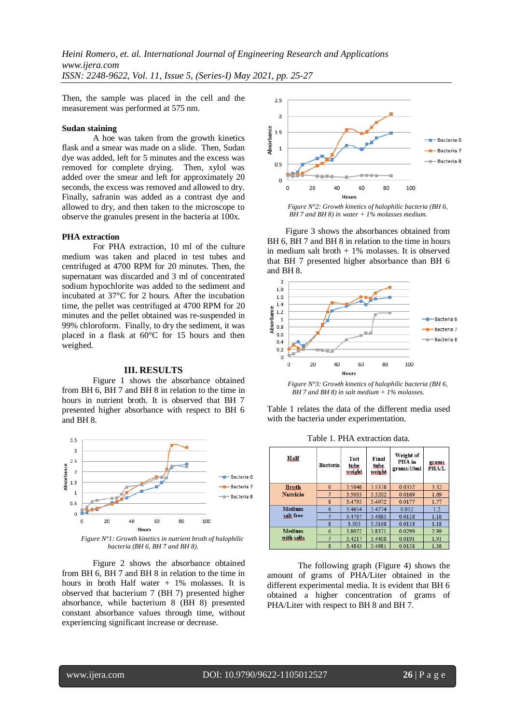Then, the sample was placed in the cell and the measurement was performed at 575 nm.

# **Sudan staining**

A hoe was taken from the growth kinetics flask and a smear was made on a slide. Then, Sudan dye was added, left for 5 minutes and the excess was removed for complete drying. Then, xylol was added over the smear and left for approximately 20 seconds, the excess was removed and allowed to dry. Finally, safranin was added as a contrast dye and allowed to dry, and then taken to the microscope to observe the granules present in the bacteria at 100x.

# **PHA extraction**

For PHA extraction, 10 ml of the culture medium was taken and placed in test tubes and centrifuged at 4700 RPM for 20 minutes. Then, the supernatant was discarded and 3 ml of concentrated sodium hypochlorite was added to the sediment and incubated at 37°C for 2 hours. After the incubation time, the pellet was centrifuged at 4700 RPM for 20 minutes and the pellet obtained was re-suspended in 99% chloroform. Finally, to dry the sediment, it was placed in a flask at 60°C for 15 hours and then weighed.

# **III. RESULTS**

Figure 1 shows the absorbance obtained from BH 6, BH 7 and BH 8 in relation to the time in hours in nutrient broth. It is observed that BH 7 presented higher absorbance with respect to BH 6 and BH 8.



*bacteria (BH 6, BH 7 and BH 8).*

Figure 2 shows the absorbance obtained from BH 6, BH 7 and BH 8 in relation to the time in hours in broth Half water  $+1\%$  molasses. It is observed that bacterium 7 (BH 7) presented higher absorbance, while bacterium 8 (BH 8) presented constant absorbance values through time, without experiencing significant increase or decrease.



*Figure N°2: Growth kinetics of halophilic bacteria (BH 6, BH 7 and BH 8) in water + 1% molasses medium.*

Figure 3 shows the absorbances obtained from BH 6, BH 7 and BH 8 in relation to the time in hours in medium salt broth  $+1\%$  molasses. It is observed that BH 7 presented higher absorbance than BH 6 and BH 8.



*Figure N°3: Growth kinetics of halophilic bacteria (BH 6, BH 7 and BH 8) in salt medium + 1% molasses.*

Table 1 relates the data of the different media used with the bacteria under experimentation.

| Half            | <b>Bacteria</b> | <b>Test</b><br>tube<br>weight | Final<br>tube<br>weight | Weight of<br>PHA in<br>grams/10ml | <u>grams</u><br><b>PHA/L</b> |
|-----------------|-----------------|-------------------------------|-------------------------|-----------------------------------|------------------------------|
| <b>Broth</b>    | 6               | 3.5046                        | 3.5378                  | 0.0332                            | 3.32                         |
| <b>Nutricio</b> | 7               | 3.5033                        | 3.5202                  | 0.0169                            | 1.69                         |
|                 | 8               | 3.4795                        | 3.4972                  | 0.0177                            | 1.77                         |
| <b>Medium</b>   | 6               | 3.4654                        | 3.4774                  | 0.012                             | 1.2                          |
| salt free       | 7               | 3.4767                        | 3.4885                  | 0.0118                            | 1.18                         |
|                 | 8               | 3.505                         | 3.5168                  | 0.0118                            | 1.18                         |
| Medium          | 6               | 3.8072                        | 3.8371                  | 0.0299                            | 2.99                         |
| with salts.     | 7               | 3.4217                        | 3.4408                  | 0.0191                            | 1.91                         |
|                 | 8               | 3.4843                        | 3.4981                  | 0.0138                            | 1.38                         |

Table 1. PHA extraction data.

The following graph (Figure 4) shows the amount of grams of PHA/Liter obtained in the different experimental media. It is evident that BH 6 obtained a higher concentration of grams of PHA/Liter with respect to BH 8 and BH 7.